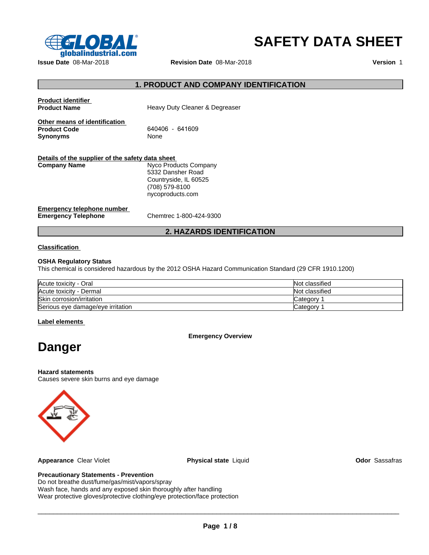

# **SAFETY DATA SHEET**

| $\epsilon$ $\sim$ $\epsilon$ $\sim$ $\epsilon$<br>qlobalindustrial.com  |                                                                                                           | <b>SAFETY DATA SHEET</b> |
|-------------------------------------------------------------------------|-----------------------------------------------------------------------------------------------------------|--------------------------|
| Issue Date 08-Mar-2018                                                  | Revision Date 08-Mar-2018                                                                                 | Version 1                |
|                                                                         | 1. PRODUCT AND COMPANY IDENTIFICATION                                                                     |                          |
| <b>Product identifier</b><br><b>Product Name</b>                        | Heavy Duty Cleaner & Degreaser                                                                            |                          |
| Other means of identification<br><b>Product Code</b><br><b>Synonyms</b> | 640406 - 641609<br>None                                                                                   |                          |
| Details of the supplier of the safety data sheet<br><b>Company Name</b> | Nyco Products Company<br>5332 Dansher Road<br>Countryside, IL 60525<br>(708) 579-8100<br>nycoproducts.com |                          |
| <b>Emergency telephone number</b><br><b>Emergency Telephone</b>         | Chemtrec 1-800-424-9300                                                                                   |                          |
|                                                                         | <b>2. HAZARDS IDENTIFICATION</b>                                                                          |                          |
| <b>Classification</b>                                                   |                                                                                                           |                          |
| <b>OSHA Requiatory Status</b>                                           |                                                                                                           |                          |

# **Classification**

# **OSHA Regulatory Status**

This chemical is considered hazardous by the 2012 OSHA Hazard Communication Standard (29 CFR 1910.1200)

| Acute toxicity - Oral             | Not classified |
|-----------------------------------|----------------|
| Acute toxicity - Dermal           | Not classified |
| Skin corrosion/irritation         | Category       |
| Serious eye damage/eye irritation | Category       |

# **Label elements**

**Emergency Overview**

# **Danger**

# **Hazard statements**

Causes severe skin burns and eye damage



**Appearance** Clear Violet **Physical state** Liquid **Odor** Sassafras

# **Precautionary Statements - Prevention**

Do not breathe dust/fume/gas/mist/vapors/spray Wash face, hands and any exposed skin thoroughly after handling Wear protective gloves/protective clothing/eye protection/face protection

 $\_$  ,  $\_$  ,  $\_$  ,  $\_$  ,  $\_$  ,  $\_$  ,  $\_$  ,  $\_$  ,  $\_$  ,  $\_$  ,  $\_$  ,  $\_$  ,  $\_$  ,  $\_$  ,  $\_$  ,  $\_$  ,  $\_$  ,  $\_$  ,  $\_$  ,  $\_$  ,  $\_$  ,  $\_$  ,  $\_$  ,  $\_$  ,  $\_$  ,  $\_$  ,  $\_$  ,  $\_$  ,  $\_$  ,  $\_$  ,  $\_$  ,  $\_$  ,  $\_$  ,  $\_$  ,  $\_$  ,  $\_$  ,  $\_$  ,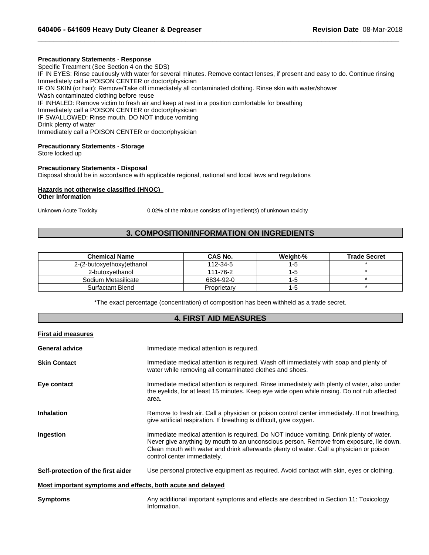# **Precautionary Statements - Response**

Specific Treatment (See Section 4 on the SDS) IF IN EYES: Rinse cautiously with water for several minutes. Remove contact lenses, if present and easy to do. Continue rinsing Immediately call a POISON CENTER or doctor/physician IF ON SKIN (or hair): Remove/Take off immediately all contaminated clothing. Rinse skin with water/shower Wash contaminated clothing before reuse IF INHALED: Remove victim to fresh air and keep at rest in a position comfortable for breathing Immediately call a POISON CENTER or doctor/physician IF SWALLOWED: Rinse mouth. DO NOT induce vomiting Drink plenty of water Immediately call a POISON CENTER or doctor/physician **3. COMPOSITION/INFORMATION ON INGREDIENTS**<br> **3. COMPOSITION/INFORMATION ON INGREDIENTS**<br> **3. COMPOSITION/INFORMATION ON INGREDIENTS**<br> **3. COMPOSITION/INFORMATION ON INGREDIENTS**<br> **3.** COMPOSITION/INFORMATION ON INGREDIENT

 $\_$  ,  $\_$  ,  $\_$  ,  $\_$  ,  $\_$  ,  $\_$  ,  $\_$  ,  $\_$  ,  $\_$  ,  $\_$  ,  $\_$  ,  $\_$  ,  $\_$  ,  $\_$  ,  $\_$  ,  $\_$  ,  $\_$  ,  $\_$  ,  $\_$  ,  $\_$  ,  $\_$  ,  $\_$  ,  $\_$  ,  $\_$  ,  $\_$  ,  $\_$  ,  $\_$  ,  $\_$  ,  $\_$  ,  $\_$  ,  $\_$  ,  $\_$  ,  $\_$  ,  $\_$  ,  $\_$  ,  $\_$  ,  $\_$  ,

# **Precautionary Statements - Storage**

Store locked up

# **Precautionary Statements - Disposal** Disposal should be in accordance with applicable regional, national and local laws and regulations

# **Hazards not otherwise classified (HNOC) Other Information**

|                            | <b>3. COMPOSITION/INFORMATION ON INGREDIENTS</b>                                                                          |          |                     |
|----------------------------|---------------------------------------------------------------------------------------------------------------------------|----------|---------------------|
| <b>Chemical Name</b>       | <b>CAS No.</b>                                                                                                            | Weight-% | <b>Trade Secret</b> |
| 2-(2-butoxyethoxy) ethanol | 112-34-5                                                                                                                  | $1 - 5$  |                     |
| 2-butoxyethanol            | 111-76-2                                                                                                                  | $1 - 5$  | $\star$             |
| Sodium Metasilicate        | 6834-92-0                                                                                                                 | 1-5      | $\star$             |
| Surfactant Blend           | Proprietary                                                                                                               | $1 - 5$  | $\star$             |
|                            | *The exact percentage (concentration) of composition has been withheld as a trade secret.<br><b>4. FIRST AID MEASURES</b> |          |                     |

|                                                             | 4. FINJI AIV MEAJUNEJ                                                                                                                                                                                                                                                                                       |
|-------------------------------------------------------------|-------------------------------------------------------------------------------------------------------------------------------------------------------------------------------------------------------------------------------------------------------------------------------------------------------------|
| <b>First aid measures</b>                                   |                                                                                                                                                                                                                                                                                                             |
| <b>General advice</b>                                       | Immediate medical attention is required.                                                                                                                                                                                                                                                                    |
| <b>Skin Contact</b>                                         | Immediate medical attention is required. Wash off immediately with soap and plenty of<br>water while removing all contaminated clothes and shoes.                                                                                                                                                           |
| Eye contact                                                 | Immediate medical attention is required. Rinse immediately with plenty of water, also under<br>the eyelids, for at least 15 minutes. Keep eye wide open while rinsing. Do not rub affected<br>area.                                                                                                         |
| <b>Inhalation</b>                                           | Remove to fresh air. Call a physician or poison control center immediately. If not breathing,<br>give artificial respiration. If breathing is difficult, give oxygen.                                                                                                                                       |
| Ingestion                                                   | Immediate medical attention is required. Do NOT induce vomiting. Drink plenty of water.<br>Never give anything by mouth to an unconscious person. Remove from exposure, lie down.<br>Clean mouth with water and drink afterwards plenty of water. Call a physician or poison<br>control center immediately. |
| Self-protection of the first aider                          | Use personal protective equipment as required. Avoid contact with skin, eyes or clothing.                                                                                                                                                                                                                   |
| Most important symptoms and effects, both acute and delayed |                                                                                                                                                                                                                                                                                                             |
| <b>Symptoms</b>                                             | Any additional important symptoms and effects are described in Section 11: Toxicology<br>Information.                                                                                                                                                                                                       |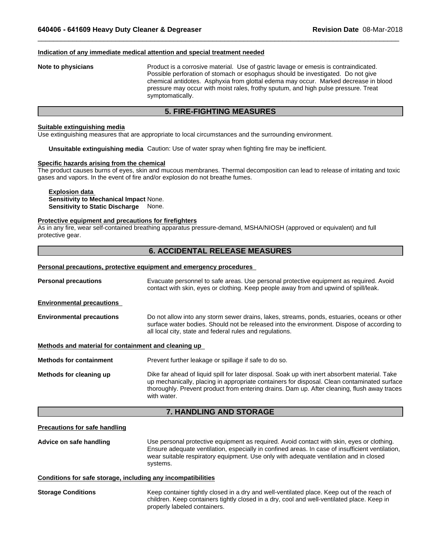# **Indication of any immediate medical attention and special treatment needed**

# **Note to physicians** Product is a corrosive material. Use of gastric lavage or emesis is contraindicated. Possible perforation of stomach or esophagus should be investigated. Do not give chemical antidotes. Asphyxia from glottal edema may occur. Marked decrease in blood pressure may occur with moist rales, frothy sputum, and high pulse pressure. Treat symptomatically. **5. FIRE-FIGHTING MEASURES**<br> **5. FIRE-FIGHTING MEASURES**<br> **5. FIRE-FIGHTING MEASURES**<br> **5. FIRE-FIGHTING MEASURES**<br> **5. FIRE-FIGHTING MEASURES**<br> **EXALGE TO A SURFER TO THALL AND THE MANUSE ASSAMPLE TO THE MANUSE PRESSURE T**

 $\_$  ,  $\_$  ,  $\_$  ,  $\_$  ,  $\_$  ,  $\_$  ,  $\_$  ,  $\_$  ,  $\_$  ,  $\_$  ,  $\_$  ,  $\_$  ,  $\_$  ,  $\_$  ,  $\_$  ,  $\_$  ,  $\_$  ,  $\_$  ,  $\_$  ,  $\_$  ,  $\_$  ,  $\_$  ,  $\_$  ,  $\_$  ,  $\_$  ,  $\_$  ,  $\_$  ,  $\_$  ,  $\_$  ,  $\_$  ,  $\_$  ,  $\_$  ,  $\_$  ,  $\_$  ,  $\_$  ,  $\_$  ,  $\_$  ,

# **Suitable extinguishing media**

Use extinguishing measures that are appropriate to local circumstances and the surrounding environment.

**Unsuitable extinguishing media** Caution: Use of water spray when fighting fire may be inefficient.

# **Specific hazards arising from the chemical**

The product causes burns of eyes, skin and mucous membranes. Thermal decomposition can lead to release of irritating and toxic gases and vapors. In the event of fire and/or explosion do not breathe fumes. propriate to local circumstances and the surrounding environment.<br>Caution: Use of water spray when fighting fire may be inefficient.<br>**mical**<br>and mucous membranes. Thermal decomposition can lead to release of irritating and

**Explosion data Sensitivity to Mechanical Impact** None. **Sensitivity to Static Discharge** None.

# **Protective equipment and precautions for firefighters**

As in any fire, wear self-contained breathing apparatus pressure-demand, MSHA/NIOSH (approved or equivalent) and full protective gear.

# **Personal precautions, protective equipment and emergency procedures**

| <b>Personal precautions</b>                          | Evacuate personnel to safe areas. Use personal protective equipment as required. Avoid<br>contact with skin, eyes or clothing. Keep people away from and upwind of spill/leak.                                                                                                                              |
|------------------------------------------------------|-------------------------------------------------------------------------------------------------------------------------------------------------------------------------------------------------------------------------------------------------------------------------------------------------------------|
| <b>Environmental precautions</b>                     |                                                                                                                                                                                                                                                                                                             |
| <b>Environmental precautions</b>                     | Do not allow into any storm sewer drains, lakes, streams, ponds, estuaries, oceans or other<br>surface water bodies. Should not be released into the environment. Dispose of according to<br>all local city, state and federal rules and regulations.                                                       |
| Methods and material for containment and cleaning up |                                                                                                                                                                                                                                                                                                             |
| <b>Methods for containment</b>                       | Prevent further leakage or spillage if safe to do so.                                                                                                                                                                                                                                                       |
| Methods for cleaning up                              | Dike far ahead of liquid spill for later disposal. Soak up with inert absorbent material. Take<br>up mechanically, placing in appropriate containers for disposal. Clean contaminated surface<br>thoroughly. Prevent product from entering drains. Dam up. After cleaning, flush away traces<br>with water. |
|                                                      | <b>7. HANDLING AND STORAGE</b>                                                                                                                                                                                                                                                                              |
| <b>Precautions for safe handling</b>                 |                                                                                                                                                                                                                                                                                                             |
| Advice on safe handling                              | Use personal protective equipment as required. Avoid contact with skin, eves or clothing.                                                                                                                                                                                                                   |

# **Precautions for safe handling**

**Advice on safe handling** Use personal protective equipment as required. Avoid contact with skin, eyes or clothing. Ensure adequate ventilation, especially in confined areas. In case of insufficient ventilation, wear suitable respiratory equipment. Use only with adequate ventilation and in closed systems.

# **Conditions for safe storage, including any incompatibilities**

**Storage Conditions** Keep container tightly closed in a dry and well-ventilated place. Keep out of the reach of children. Keep containers tightly closed in a dry, cool and well-ventilated place. Keep in properly labeled containers.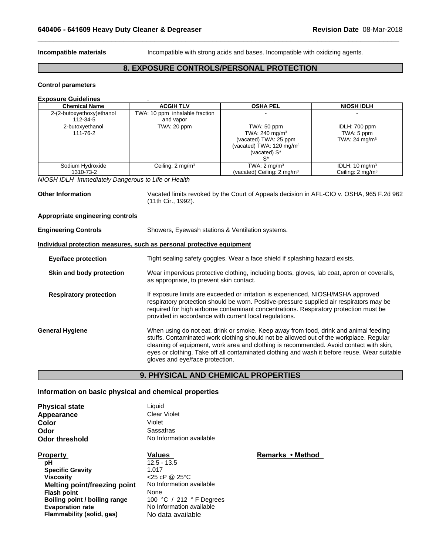**Incompatible materials Incompatible with strong acids and bases. Incompatible with oxidizing agents.** 

 $\_$  ,  $\_$  ,  $\_$  ,  $\_$  ,  $\_$  ,  $\_$  ,  $\_$  ,  $\_$  ,  $\_$  ,  $\_$  ,  $\_$  ,  $\_$  ,  $\_$  ,  $\_$  ,  $\_$  ,  $\_$  ,  $\_$  ,  $\_$  ,  $\_$  ,  $\_$  ,  $\_$  ,  $\_$  ,  $\_$  ,  $\_$  ,  $\_$  ,  $\_$  ,  $\_$  ,  $\_$  ,  $\_$  ,  $\_$  ,  $\_$  ,  $\_$  ,  $\_$  ,  $\_$  ,  $\_$  ,  $\_$  ,  $\_$  ,

# **Revision Date 08-Mar-2018**<br>
Incompatible with strong acids and bases. Incompatible with oxidizing agents.<br> **8. EXPOSURE CONTROLS/PERSONAL PROTECTION**

# **Control parameters**

# **Exposure Guidelines** .

| <b>Chemical Name</b>          | <b>ACGIH TLV</b>               | <b>OSHA PEL</b>                                                                                                           | <b>NIOSH IDLH</b>                                        |
|-------------------------------|--------------------------------|---------------------------------------------------------------------------------------------------------------------------|----------------------------------------------------------|
| 2-(2-butoxyethoxy)ethanol     | TWA: 10 ppm inhalable fraction |                                                                                                                           |                                                          |
| 112-34-5                      | and vapor                      |                                                                                                                           |                                                          |
| 2-butoxyethanol<br>111-76-2   | TWA: 20 ppm                    | TWA: 50 ppm<br>TWA: 240 mg/m <sup>3</sup><br>(vacated) TWA: 25 ppm<br>(vacated) TWA: $120 \text{ mg/m}^3$<br>(vacated) S* | IDLH: 700 ppm<br>TWA: 5 ppm<br>TWA: $24 \text{ mg/m}^3$  |
| Sodium Hydroxide<br>1310-73-2 | Ceiling: $2 \text{ mg/m}^3$    | TWA: $2 \text{ mg/m}^3$<br>(vacated) Ceiling: $2 \text{ mg/m}^3$                                                          | IDLH: $10 \text{ mg/m}^3$<br>Ceiling: $2 \text{ mq/m}^3$ |

*NIOSH IDLH Immediately Dangerous to Life or Health*

**Other Information** Vacated limits revoked by the Court of Appeals decision in AFL-CIO v. OSHA, 965 F.2d 962 (11th Cir., 1992).

# **Appropriate engineering controls**

| <b>Engineering Controls</b>                           | Showers, Eyewash stations & Ventilation systems.                                                                                                                                                                                                                                                                                                                                                            |
|-------------------------------------------------------|-------------------------------------------------------------------------------------------------------------------------------------------------------------------------------------------------------------------------------------------------------------------------------------------------------------------------------------------------------------------------------------------------------------|
|                                                       | Individual protection measures, such as personal protective equipment                                                                                                                                                                                                                                                                                                                                       |
| <b>Eye/face protection</b>                            | Tight sealing safety goggles. Wear a face shield if splashing hazard exists.                                                                                                                                                                                                                                                                                                                                |
| Skin and body protection                              | Wear impervious protective clothing, including boots, gloves, lab coat, apron or coveralls,<br>as appropriate, to prevent skin contact.                                                                                                                                                                                                                                                                     |
| <b>Respiratory protection</b>                         | If exposure limits are exceeded or irritation is experienced, NIOSH/MSHA approved<br>respiratory protection should be worn. Positive-pressure supplied air respirators may be<br>required for high airborne contaminant concentrations. Respiratory protection must be<br>provided in accordance with current local regulations.                                                                            |
| <b>General Hygiene</b>                                | When using do not eat, drink or smoke. Keep away from food, drink and animal feeding<br>stuffs. Contaminated work clothing should not be allowed out of the workplace. Regular<br>cleaning of equipment, work area and clothing is recommended. Avoid contact with skin,<br>eyes or clothing. Take off all contaminated clothing and wash it before reuse. Wear suitable<br>gloves and eye/face protection. |
|                                                       | <b>9. PHYSICAL AND CHEMICAL PROPERTIES</b>                                                                                                                                                                                                                                                                                                                                                                  |
| Information on basic physical and chemical properties |                                                                                                                                                                                                                                                                                                                                                                                                             |
| <b>Dhucical state</b>                                 | hiınni l                                                                                                                                                                                                                                                                                                                                                                                                    |

# **Information on basic physical and chemical properties**

| <b>Physical state</b> | Liauid                   |
|-----------------------|--------------------------|
| Appearance            | Clear Violet             |
| Color                 | Violet                   |
| Odor                  | Sassafras                |
| <b>Odor threshold</b> | No Information available |

**pH** 12.5 - 13.5 **Specific Gravity** 1.017 **Viscosity** <25 cP @ 25°C **Melting point/freezing point** No Information available **Flash point**<br> **Boiling point / boiling range 100 °C** / 212 ° F Degrees **Boiling point / boiling range Evaporation rate** No Information available **Flammability (solid, gas)** No data available

**Property Remarks • Method Values Property Remarks • Method**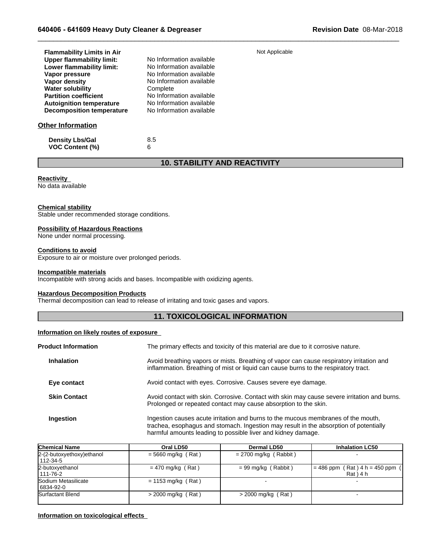| <b>Flammability Limits in Air</b> | Not Applicable                      |
|-----------------------------------|-------------------------------------|
| <b>Upper flammability limit:</b>  | No Information available            |
| Lower flammability limit:         | No Information available            |
| Vapor pressure                    | No Information available            |
| Vapor density                     | No Information available            |
| <b>Water solubility</b>           | Complete                            |
| <b>Partition coefficient</b>      | No Information available            |
| <b>Autoignition temperature</b>   | No Information available            |
| <b>Decomposition temperature</b>  | No Information available            |
| <b>Other Information</b>          |                                     |
| <b>Density Lbs/Gal</b>            | 8.5                                 |
| <b>VOC Content (%)</b>            | 6                                   |
|                                   | <b>10. STABILITY AND REACTIVITY</b> |
|                                   |                                     |
| Reactivity                        |                                     |
| No data available                 |                                     |
|                                   |                                     |

 $\_$  ,  $\_$  ,  $\_$  ,  $\_$  ,  $\_$  ,  $\_$  ,  $\_$  ,  $\_$  ,  $\_$  ,  $\_$  ,  $\_$  ,  $\_$  ,  $\_$  ,  $\_$  ,  $\_$  ,  $\_$  ,  $\_$  ,  $\_$  ,  $\_$  ,  $\_$  ,  $\_$  ,  $\_$  ,  $\_$  ,  $\_$  ,  $\_$  ,  $\_$  ,  $\_$  ,  $\_$  ,  $\_$  ,  $\_$  ,  $\_$  ,  $\_$  ,  $\_$  ,  $\_$  ,  $\_$  ,  $\_$  ,  $\_$  ,

# **Reactivity**

# **Chemical stability**

# **Possibility of Hazardous Reactions**

# **Conditions to avoid**

# **Incompatible materials**

# **Hazardous Decomposition Products**

# **Information on likely routes of exposure**

| <b>Chemical stability</b><br>Stable under recommended storage conditions.         |                                                                                                                                                                                                                                            |
|-----------------------------------------------------------------------------------|--------------------------------------------------------------------------------------------------------------------------------------------------------------------------------------------------------------------------------------------|
| <b>Possibility of Hazardous Reactions</b>                                         |                                                                                                                                                                                                                                            |
| None under normal processing.                                                     |                                                                                                                                                                                                                                            |
| <b>Conditions to avoid</b><br>Exposure to air or moisture over prolonged periods. |                                                                                                                                                                                                                                            |
| <b>Incompatible materials</b>                                                     | Incompatible with strong acids and bases. Incompatible with oxidizing agents.                                                                                                                                                              |
| <b>Hazardous Decomposition Products</b>                                           | Thermal decomposition can lead to release of irritating and toxic gases and vapors.                                                                                                                                                        |
|                                                                                   | <b>11. TOXICOLOGICAL INFORMATION</b>                                                                                                                                                                                                       |
| Information on likely routes of exposure                                          |                                                                                                                                                                                                                                            |
| <b>Product Information</b>                                                        | The primary effects and toxicity of this material are due to it corrosive nature.                                                                                                                                                          |
| <b>Inhalation</b>                                                                 | Avoid breathing vapors or mists. Breathing of vapor can cause respiratory irritation and<br>inflammation. Breathing of mist or liquid can cause burns to the respiratory tract.                                                            |
| Eye contact                                                                       | Avoid contact with eyes. Corrosive. Causes severe eye damage.                                                                                                                                                                              |
| <b>Skin Contact</b>                                                               | Avoid contact with skin. Corrosive. Contact with skin may cause severe irritation and burns.<br>Prolonged or repeated contact may cause absorption to the skin.                                                                            |
| Ingestion                                                                         | Ingestion causes acute irritation and burns to the mucous membranes of the mouth,<br>trachea, esophagus and stomach. Ingestion may result in the absorption of potentially<br>harmful amounts leading to possible liver and kidney damage. |

| Ingestion                              |                      | Ingestion causes acute irritation and burns to the mucous membranes of the mouth,<br>trachea, esophagus and stomach. Ingestion may result in the absorption of potentially<br>harmful amounts leading to possible liver and kidney damage. |                                                |
|----------------------------------------|----------------------|--------------------------------------------------------------------------------------------------------------------------------------------------------------------------------------------------------------------------------------------|------------------------------------------------|
| <b>Chemical Name</b>                   | Oral LD50            | Dermal LD50                                                                                                                                                                                                                                | <b>Inhalation LC50</b>                         |
| 2-(2-butoxyethoxy) ethanol<br>112-34-5 | $= 5660$ mg/kg (Rat) | $= 2700$ mg/kg (Rabbit)                                                                                                                                                                                                                    |                                                |
| 2-butoxyethanol<br>111-76-2            | $= 470$ mg/kg (Rat)  | $= 99$ mg/kg (Rabbit)                                                                                                                                                                                                                      | $= 486$ ppm (Rat) $4 h = 450$ ppm<br>Rat ) 4 h |
| Sodium Metasilicate<br>6834-92-0       | $= 1153$ mg/kg (Rat) |                                                                                                                                                                                                                                            |                                                |
| Surfactant Blend                       | $>$ 2000 mg/kg (Rat) | $>$ 2000 mg/kg (Rat)                                                                                                                                                                                                                       |                                                |

# **Information on toxicological effects**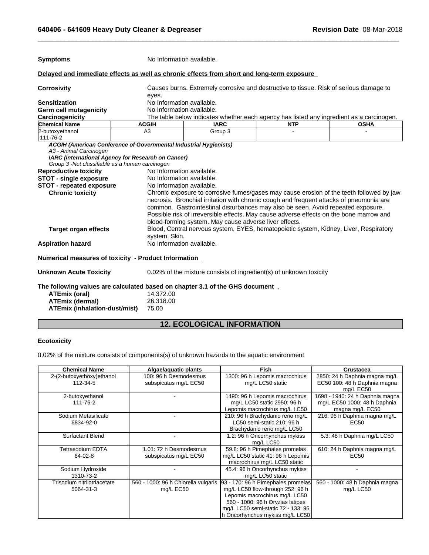| <b>Symptoms</b>                                                                                                                                                                                                                                                 | No Information available.                                                                                                                                        |                                                                                                                                                                                                                                                                                                                                                                                                 |            |             |
|-----------------------------------------------------------------------------------------------------------------------------------------------------------------------------------------------------------------------------------------------------------------|------------------------------------------------------------------------------------------------------------------------------------------------------------------|-------------------------------------------------------------------------------------------------------------------------------------------------------------------------------------------------------------------------------------------------------------------------------------------------------------------------------------------------------------------------------------------------|------------|-------------|
| Delayed and immediate effects as well as chronic effects from short and long-term exposure                                                                                                                                                                      |                                                                                                                                                                  |                                                                                                                                                                                                                                                                                                                                                                                                 |            |             |
| <b>Corrosivity</b>                                                                                                                                                                                                                                              | Causes burns. Extremely corrosive and destructive to tissue. Risk of serious damage to<br>eyes.                                                                  |                                                                                                                                                                                                                                                                                                                                                                                                 |            |             |
| <b>Sensitization</b>                                                                                                                                                                                                                                            |                                                                                                                                                                  | No Information available.                                                                                                                                                                                                                                                                                                                                                                       |            |             |
| <b>Germ cell mutagenicity</b>                                                                                                                                                                                                                                   | No Information available.                                                                                                                                        |                                                                                                                                                                                                                                                                                                                                                                                                 |            |             |
| Carcinogenicity                                                                                                                                                                                                                                                 |                                                                                                                                                                  | The table below indicates whether each agency has listed any ingredient as a carcinogen.                                                                                                                                                                                                                                                                                                        |            |             |
| <b>Chemical Name</b>                                                                                                                                                                                                                                            | <b>ACGIH</b>                                                                                                                                                     | <b>IARC</b>                                                                                                                                                                                                                                                                                                                                                                                     | <b>NTP</b> | <b>OSHA</b> |
| 2-butoxyethanol<br>111-76-2                                                                                                                                                                                                                                     | A3                                                                                                                                                               | Group 3                                                                                                                                                                                                                                                                                                                                                                                         |            |             |
| A3 - Animal Carcinogen<br>IARC (International Agency for Research on Cancer)<br>Group 3 - Not classifiable as a human carcinogen<br><b>Reproductive toxicity</b><br><b>STOT - single exposure</b><br><b>STOT - repeated exposure</b><br><b>Chronic toxicity</b> | No Information available.<br>No Information available.                                                                                                           | No Information available.<br>Chronic exposure to corrosive fumes/gases may cause erosion of the teeth followed by jaw<br>necrosis. Bronchial irritation with chronic cough and frequent attacks of pneumonia are<br>common. Gastrointestinal disturbances may also be seen. Avoid repeated exposure.<br>Possible risk of irreversible effects. May cause adverse effects on the bone marrow and |            |             |
| <b>Target organ effects</b>                                                                                                                                                                                                                                     | blood-forming system. May cause adverse liver effects.<br>Blood, Central nervous system, EYES, hematopoietic system, Kidney, Liver, Respiratory<br>system, Skin. |                                                                                                                                                                                                                                                                                                                                                                                                 |            |             |
| <b>Aspiration hazard</b>                                                                                                                                                                                                                                        | No Information available.                                                                                                                                        |                                                                                                                                                                                                                                                                                                                                                                                                 |            |             |
| Numerical measures of toxicity - Product Information                                                                                                                                                                                                            |                                                                                                                                                                  |                                                                                                                                                                                                                                                                                                                                                                                                 |            |             |
| <b>Unknown Acute Toxicity</b>                                                                                                                                                                                                                                   |                                                                                                                                                                  | 0.02% of the mixture consists of ingredient(s) of unknown toxicity                                                                                                                                                                                                                                                                                                                              |            |             |
| The following values are calculated based on chapter 3.1 of the GHS document.<br><b>ATEmix (oral)</b><br><b>ATEmix (dermal)</b><br><b>ATEmix (inhalation-dust/mist)</b>                                                                                         | 14,372.00<br>26,318.00<br>75.00                                                                                                                                  |                                                                                                                                                                                                                                                                                                                                                                                                 |            |             |
|                                                                                                                                                                                                                                                                 |                                                                                                                                                                  |                                                                                                                                                                                                                                                                                                                                                                                                 |            |             |
|                                                                                                                                                                                                                                                                 |                                                                                                                                                                  | <b>12. ECOLOGICAL INFORMATION</b>                                                                                                                                                                                                                                                                                                                                                               |            |             |
| <b>Ecotoxicity</b>                                                                                                                                                                                                                                              |                                                                                                                                                                  |                                                                                                                                                                                                                                                                                                                                                                                                 |            |             |
| 0.02% of the mixture consists of components(s) of unknown hazards to the aquatic environment                                                                                                                                                                    |                                                                                                                                                                  |                                                                                                                                                                                                                                                                                                                                                                                                 |            |             |

 $\_$  ,  $\_$  ,  $\_$  ,  $\_$  ,  $\_$  ,  $\_$  ,  $\_$  ,  $\_$  ,  $\_$  ,  $\_$  ,  $\_$  ,  $\_$  ,  $\_$  ,  $\_$  ,  $\_$  ,  $\_$  ,  $\_$  ,  $\_$  ,  $\_$  ,  $\_$  ,  $\_$  ,  $\_$  ,  $\_$  ,  $\_$  ,  $\_$  ,  $\_$  ,  $\_$  ,  $\_$  ,  $\_$  ,  $\_$  ,  $\_$  ,  $\_$  ,  $\_$  ,  $\_$  ,  $\_$  ,  $\_$  ,  $\_$  ,

# **Ecotoxicity**

0.02% of the mixture consists of components(s) of unknown hazards to the aquatic environment

| <b>Chemical Name</b>                     | Algae/aquatic plants                             | Fish                                                                                                                                                                                                                 | <b>Crustacea</b>                                                                   |
|------------------------------------------|--------------------------------------------------|----------------------------------------------------------------------------------------------------------------------------------------------------------------------------------------------------------------------|------------------------------------------------------------------------------------|
| 2-(2-butoxyethoxy) ethanol<br>112-34-5   | 100: 96 h Desmodesmus<br>subspicatus mg/L EC50   | 1300: 96 h Lepomis macrochirus<br>mg/L LC50 static                                                                                                                                                                   | 2850: 24 h Daphnia magna mg/L<br>EC50 100: 48 h Daphnia magna<br>mg/L EC50         |
| 2-butoxyethanol<br>111-76-2              |                                                  | 1490: 96 h Lepomis macrochirus<br>mg/L LC50 static 2950: 96 h<br>Lepomis macrochirus mg/L LC50                                                                                                                       | 1698 - 1940: 24 h Daphnia magna<br>mg/L EC50 1000: 48 h Daphnia<br>magna mg/L EC50 |
| Sodium Metasilicate<br>6834-92-0         |                                                  | 210: 96 h Brachydanio rerio mg/L<br>LC50 semi-static 210: 96 h<br>Brachydanio rerio mg/L LC50                                                                                                                        | 216: 96 h Daphnia magna mg/L<br>EC50                                               |
| <b>Surfactant Blend</b>                  |                                                  | 1.2: 96 h Oncorhynchus mykiss<br>mg/L LC50                                                                                                                                                                           | 5.3: 48 h Daphnia mg/L LC50                                                        |
| Tetrasodium EDTA<br>64-02-8              | 1.01: 72 h Desmodesmus<br>subspicatus mg/L EC50  | 59.8: 96 h Pimephales promelas<br>mg/L LC50 static 41: 96 h Lepomis<br>macrochirus mg/L LC50 static                                                                                                                  | 610: 24 h Daphnia magna mg/L<br>EC50                                               |
| Sodium Hydroxide<br>1310-73-2            |                                                  | 45.4: 96 h Oncorhynchus mykiss<br>mg/L LC50 static                                                                                                                                                                   |                                                                                    |
| Trisodium nitrilotriacetate<br>5064-31-3 | 560 - 1000: 96 h Chlorella vulgaris<br>mg/L EC50 | 93 - 170: 96 h Pimephales promelas<br>mg/L LC50 flow-through 252: 96 h<br>Lepomis macrochirus mg/L LC50<br>560 - 1000: 96 h Oryzias latipes<br>mg/L LC50 semi-static 72 - 133: 96<br>h Oncorhynchus mykiss mg/L LC50 | 560 - 1000: 48 h Daphnia magna<br>mg/L LC50                                        |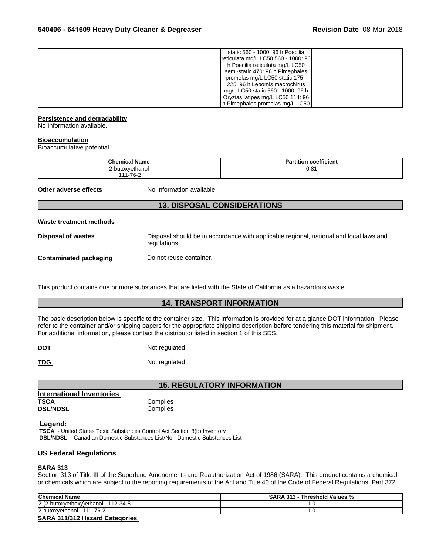| <b>Waste treatment methods</b><br>Dienneal of wastes                                                                      | Disposal should be in accordance with applicable regional national and local laws and                                                                                                                                                                                                                                           |
|---------------------------------------------------------------------------------------------------------------------------|---------------------------------------------------------------------------------------------------------------------------------------------------------------------------------------------------------------------------------------------------------------------------------------------------------------------------------|
|                                                                                                                           | <b>13. DISPOSAL CONSIDERATIONS</b>                                                                                                                                                                                                                                                                                              |
| Other adverse effects<br>No Information available                                                                         |                                                                                                                                                                                                                                                                                                                                 |
| 111-76-2                                                                                                                  |                                                                                                                                                                                                                                                                                                                                 |
| <b>Chemical Name</b><br>2-butoxyethanol                                                                                   | <b>Partition coefficient</b><br>0.81                                                                                                                                                                                                                                                                                            |
| <b>Persistence and degradability</b><br>No Information available.<br><b>Bioaccumulation</b><br>Bioaccumulative potential. |                                                                                                                                                                                                                                                                                                                                 |
|                                                                                                                           | static 560 - 1000: 96 h Poecilia<br>reticulata mg/L LC50 560 - 1000: 96<br>h Poecilia reticulata mg/L LC50<br>semi-static 470: 96 h Pimephales<br>promelas mg/L LC50 static 175 -<br>225: 96 h Lepomis macrochirus<br>mg/L LC50 static 560 - 1000: 96 h<br>Oryzias latipes mg/L LC50 114: 96<br>h Pimephales promelas mg/L LC50 |

 $\_$  ,  $\_$  ,  $\_$  ,  $\_$  ,  $\_$  ,  $\_$  ,  $\_$  ,  $\_$  ,  $\_$  ,  $\_$  ,  $\_$  ,  $\_$  ,  $\_$  ,  $\_$  ,  $\_$  ,  $\_$  ,  $\_$  ,  $\_$  ,  $\_$  ,  $\_$  ,  $\_$  ,  $\_$  ,  $\_$  ,  $\_$  ,  $\_$  ,  $\_$  ,  $\_$  ,  $\_$  ,  $\_$  ,  $\_$  ,  $\_$  ,  $\_$  ,  $\_$  ,  $\_$  ,  $\_$  ,  $\_$  ,  $\_$  ,

# **Persistence and degradability**

# **Bioaccumulation**

| <b>Chemical Name</b> | coefficient<br>Partition |
|----------------------|--------------------------|
| 2-butoxyethanol      | 0.81                     |
| $-76-2$<br>144       |                          |

# **Waste treatment methods**

**Disposal of wastes** Disposal should be in accordance with applicable regional, national and local laws and regulations.

**Contaminated packaging Do not reuse container.** 

This product contains one or more substances that are listed with the State of California as a hazardous waste.

**14. TRANSPORT INFORMATIONS**<br> **14. TRANSPORT INFORMATIONS**<br> **14. TRANSPORT INFORMATION**<br> **14. TRANSPORT INFORMATION**<br> **14. TRANSPORT INFORMATION**<br>
container size. This information is provided for at a glance DOT informatio The basic description below is specific to the container size. This information is provided for at a glance DOT information. Please refer to the container and/or shipping papers for the appropriate shipping description before tendering this material for shipment. For additional information, please contact the distributor listed in section 1 of this SDS. res that are listed with the State of California as a hazardous waste.<br> **14. TRANSPORT INFORMATION**<br>
e container size. This information is provided for at a glance DOT information. Ple<br>
st for the appropriate shipping desc

**DOT** Not regulated

**TDG** Not regulated

**International Inventories TSCA** Complies **DSL/NDSL** Complies

 **Legend:** 

 **TSCA** - United States Toxic Substances Control Act Section 8(b) Inventory  **DSL/NDSL** - Canadian Domestic Substances List/Non-Domestic Substances List

# **US Federal Regulations**

# **SARA 313**

Section 313 of Title III of the Superfund Amendments and Reauthorization Act of 1986 (SARA). This product contains a chemical or chemicals which are subject to the reporting requirements of the Act and Title 40 of the Code of Federal Regulations, Part 372

| <b>Chemical Name</b>                   | <b>SARA 313 - Threshold Values %</b> |
|----------------------------------------|--------------------------------------|
| $2-(2-butoxyethoxy)ethanol - 112-34-5$ | .v                                   |
| 2-butoxyethanol - 1<br>$-111 - 76 - 2$ | . . U                                |
| <b>SARA 311/312 Hazard Categories</b>  |                                      |